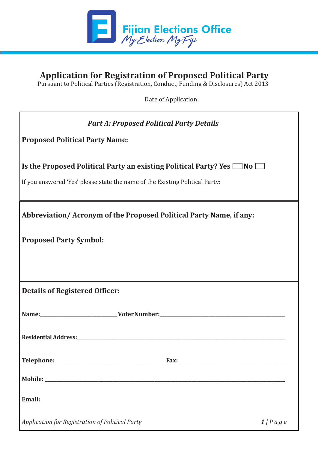

## **Application for Registration of Proposed Political Party**

P. O. Box 2528, Government Buildings, Suva

Pursuant to Political Parties (Registration, Conduct, Funding & Disclosures) Act 2013

Date of Application:\_\_\_\_\_\_\_\_\_\_\_\_\_\_\_\_\_\_\_\_\_\_\_\_\_\_\_\_\_\_\_\_\_\_\_\_

 $\mathcal{L}(\mathcal{S}) = \mathcal{L}(\mathcal{S})$  :  $\mathcal{L}(\mathcal{S}) = \mathcal{L}(\mathcal{S})$  .  $\mathcal{L}(\mathcal{S}) = \mathcal{L}(\mathcal{S})$ 

| <b>Part A: Proposed Political Party Details</b>                                   |           |
|-----------------------------------------------------------------------------------|-----------|
| <b>Proposed Political Party Name:</b>                                             |           |
| Is the Proposed Political Party an existing Political Party? Yes $\Box$ No $\Box$ |           |
| If you answered 'Yes' please state the name of the Existing Political Party:      |           |
|                                                                                   |           |
| Abbreviation/Acronym of the Proposed Political Party Name, if any:                |           |
| <b>Proposed Party Symbol:</b>                                                     |           |
|                                                                                   |           |
|                                                                                   |           |
| <b>Details of Registered Officer:</b>                                             |           |
|                                                                                   |           |
|                                                                                   |           |
|                                                                                   |           |
|                                                                                   |           |
|                                                                                   |           |
|                                                                                   |           |
|                                                                                   |           |
| Application for Registration of Political Party                                   | $1/P$ age |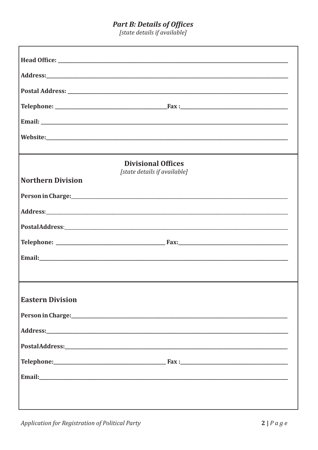# **Part B: Details of Offices**<br>[state details if available]

|                          | <b>Divisional Offices</b>                                                                                      |  |
|--------------------------|----------------------------------------------------------------------------------------------------------------|--|
| <b>Northern Division</b> | [state details if available]                                                                                   |  |
|                          | Person in Charge: 1988 and 2008 and 2008 and 2008 and 2008 and 2008 and 2008 and 2008 and 2008 and 2008 and 20 |  |
|                          |                                                                                                                |  |
|                          | PostalAddress: 2008 and 2008 and 2008 and 2008 and 2008 and 2008 and 2008 and 2008 and 2008 and 2008 and 2008  |  |
|                          |                                                                                                                |  |
|                          |                                                                                                                |  |
|                          |                                                                                                                |  |
| <b>Eastern Division</b>  |                                                                                                                |  |
|                          |                                                                                                                |  |
|                          |                                                                                                                |  |
|                          |                                                                                                                |  |
|                          |                                                                                                                |  |
|                          |                                                                                                                |  |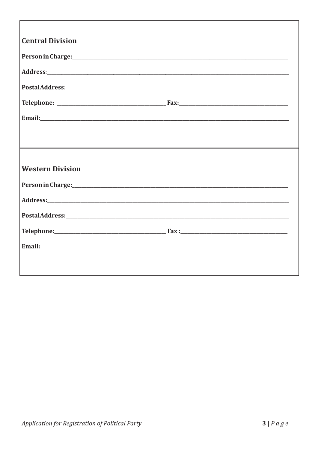| <b>Central Division</b>                                                                                        |  |
|----------------------------------------------------------------------------------------------------------------|--|
|                                                                                                                |  |
| Person in Charge: 1988 and 2008 and 2008 and 2010 and 2010 and 2010 and 2010 and 2010 and 2010 and 2010 and 20 |  |
|                                                                                                                |  |
|                                                                                                                |  |
|                                                                                                                |  |
|                                                                                                                |  |
|                                                                                                                |  |
|                                                                                                                |  |
| <b>Western Division</b>                                                                                        |  |
|                                                                                                                |  |
|                                                                                                                |  |
|                                                                                                                |  |
|                                                                                                                |  |
|                                                                                                                |  |
|                                                                                                                |  |
|                                                                                                                |  |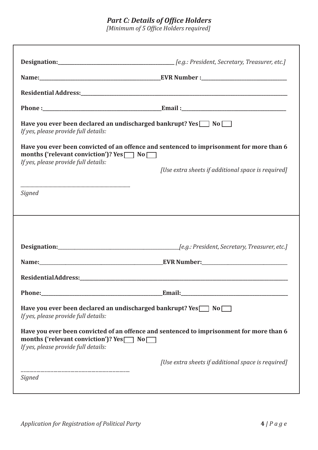#### **Part C: Details of Office Holders**

[Minimum of 5 Office Holders required]

| Have you ever been declared an undischarged bankrupt? Yes 1 No<br>If yes, please provide full details:                                                                                     |                                                    |
|--------------------------------------------------------------------------------------------------------------------------------------------------------------------------------------------|----------------------------------------------------|
| Have you ever been convicted of an offence and sentenced to imprisonment for more than 6<br>months ('relevant conviction')? $Yes \frown No \frown$                                         |                                                    |
| If yes, please provide full details:                                                                                                                                                       | [Use extra sheets if additional space is required] |
| Signed                                                                                                                                                                                     |                                                    |
|                                                                                                                                                                                            |                                                    |
|                                                                                                                                                                                            |                                                    |
|                                                                                                                                                                                            |                                                    |
|                                                                                                                                                                                            |                                                    |
|                                                                                                                                                                                            |                                                    |
|                                                                                                                                                                                            | <b>Email:___________________________</b>           |
| Have you ever been declared an undischarged bankrupt? Yes 1 No<br>If yes, please provide full details:                                                                                     |                                                    |
|                                                                                                                                                                                            |                                                    |
| Have you ever been convicted of an offence and sentenced to imprisonment for more than 6<br>months ('relevant conviction')? $Yes \frown No \frown$<br>If yes, please provide full details: |                                                    |
|                                                                                                                                                                                            | [Use extra sheets if additional space is required] |
| Signed                                                                                                                                                                                     |                                                    |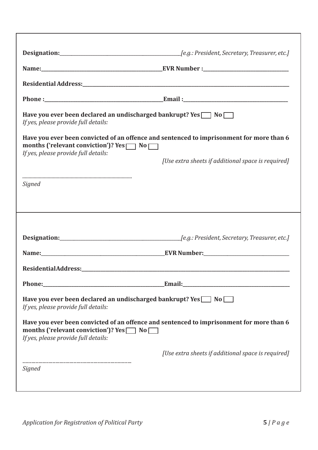| Have you ever been declared an undischarged bankrupt? Yes $\Box$ No $\Box$<br>If yes, please provide full details:                                                                       |                                                    |
|------------------------------------------------------------------------------------------------------------------------------------------------------------------------------------------|----------------------------------------------------|
| Have you ever been convicted of an offence and sentenced to imprisonment for more than 6<br>months ('relevant conviction')? Yes $\Box$ No $\Box$<br>If yes, please provide full details: |                                                    |
|                                                                                                                                                                                          | [Use extra sheets if additional space is required] |
| Signed                                                                                                                                                                                   |                                                    |
|                                                                                                                                                                                          |                                                    |
|                                                                                                                                                                                          |                                                    |
|                                                                                                                                                                                          |                                                    |
|                                                                                                                                                                                          |                                                    |
|                                                                                                                                                                                          |                                                    |
| Phone:                                                                                                                                                                                   | Email:                                             |
| Have you ever been declared an undischarged bankrupt? Yes $\Box$ No $\Box$<br>If yes, please provide full details:                                                                       |                                                    |
| Have you ever been convicted of an offence and sentenced to imprisonment for more than 6<br>months ('relevant conviction')? Yes $\Box$ No<br>If yes, please provide full details:        |                                                    |
|                                                                                                                                                                                          | [Use extra sheets if additional space is required] |
| Signed                                                                                                                                                                                   |                                                    |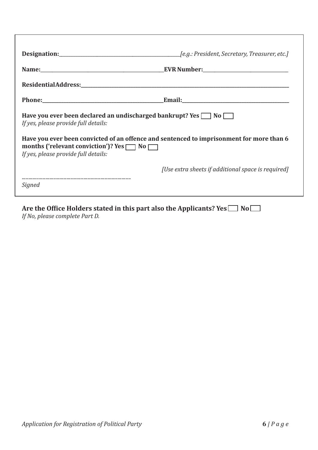| Have you ever been declared an undischarged bankrupt? Yes $\Box$ No $\Box$<br>If yes, please provide full details:                                                                       |                                                    |
|------------------------------------------------------------------------------------------------------------------------------------------------------------------------------------------|----------------------------------------------------|
| Have you ever been convicted of an offence and sentenced to imprisonment for more than 6<br>months ('relevant conviction')? Yes $\Box$ No $\Box$<br>If yes, please provide full details: |                                                    |
| Signed                                                                                                                                                                                   | [Use extra sheets if additional space is required] |

Are the Office Holders stated in this part also the Applicants? Yes  $\Box$  No $\Box$ *If No, please complete Part D.*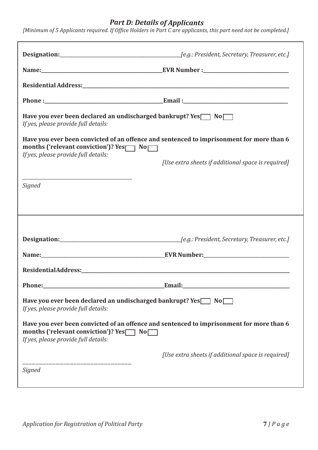#### *Part D: Details of Applicants*

| Have you ever been declared an undischarged bankrupt? Yes \[ \] No<br>If yes, please provide full details:                                                                                     |                                                    |
|------------------------------------------------------------------------------------------------------------------------------------------------------------------------------------------------|----------------------------------------------------|
| Have you ever been convicted of an offence and sentenced to imprisonment for more than 6<br>months ('relevant conviction')? $Yes \frown \overline{No}$<br>If yes, please provide full details: |                                                    |
|                                                                                                                                                                                                | [Use extra sheets if additional space is required] |
| Signed                                                                                                                                                                                         |                                                    |
|                                                                                                                                                                                                |                                                    |
|                                                                                                                                                                                                |                                                    |
|                                                                                                                                                                                                |                                                    |
|                                                                                                                                                                                                |                                                    |
|                                                                                                                                                                                                |                                                    |
| Have you ever been declared an undischarged bankrupt? Yes No<br>If yes, please provide full details:                                                                                           |                                                    |
| Have you ever been convicted of an offence and sentenced to imprisonment for more than 6<br>months ('relevant conviction')? Yes <sup>\</sup> No<br>If yes, please provide full details:        |                                                    |
|                                                                                                                                                                                                | [Use extra sheets if additional space is required] |
|                                                                                                                                                                                                |                                                    |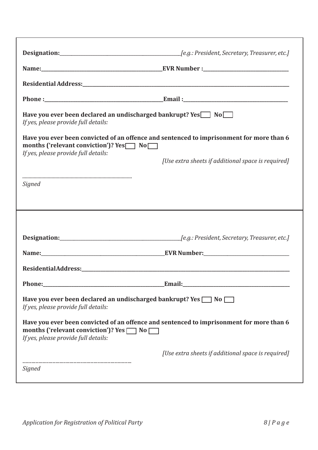| Have you ever been declared an undischarged bankrupt? Yes in No<br>If yes, please provide full details:            |                                                                                          |
|--------------------------------------------------------------------------------------------------------------------|------------------------------------------------------------------------------------------|
| months ('relevant conviction')? $Yes \frown No \frown$                                                             | Have you ever been convicted of an offence and sentenced to imprisonment for more than 6 |
| If yes, please provide full details:                                                                               | [Use extra sheets if additional space is required]                                       |
| <b>Signed</b>                                                                                                      |                                                                                          |
|                                                                                                                    |                                                                                          |
|                                                                                                                    |                                                                                          |
|                                                                                                                    |                                                                                          |
| Phone:                                                                                                             | Email:                                                                                   |
| Have you ever been declared an undischarged bankrupt? Yes $\Box$ No $\Box$<br>If yes, please provide full details: |                                                                                          |
| months ('relevant conviction')? Yes $\Box$ No $\Box$<br>If yes, please provide full details:                       | Have you ever been convicted of an offence and sentenced to imprisonment for more than 6 |
|                                                                                                                    | [Use extra sheets if additional space is required]                                       |
| Signed                                                                                                             |                                                                                          |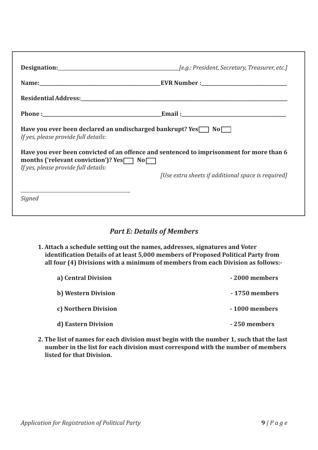| Have you ever been declared an undischarged bankrupt? Yes $\Box$ No $\Box$<br>If yes, please provide full details:                                                                       |                                                    |
|------------------------------------------------------------------------------------------------------------------------------------------------------------------------------------------|----------------------------------------------------|
| Have you ever been convicted of an offence and sentenced to imprisonment for more than 6<br>months ('relevant conviction')? Yes $\Box$ No $\Box$<br>If yes, please provide full details: |                                                    |
|                                                                                                                                                                                          | [Use extra sheets if additional space is required] |
| Signed                                                                                                                                                                                   |                                                    |

#### *Part E: Details of Members*

**1. Attach a schedule setting out the names, addresses, signatures and Voter identification Details of at least 5,000 members of Proposed Political Party from all four (4) Divisions with a minimum of members from each Division as follows:-**

| a) Central Division  | -2000 members |
|----------------------|---------------|
| b) Western Division  | -1750 members |
| c) Northern Division | -1000 members |
| d) Eastern Division  | -250 members  |

**2. The list of names for each division must begin with the number 1, such that the last number in the list for each division must correspond with the number of members listed for that Division.**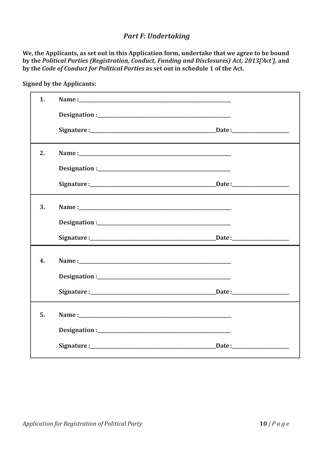### *Part F: Undertaking*

**We, the Applicants, as set out in this Application form, undertake that we agree to be bound by the** *Political Parties (Registration, Conduct, Funding and Disclosures) Act, 2013['Act'],* **and by the** *Code of Conduct for Political Parties* **as set out in schedule 1 of the Act.**

| 1. |  |
|----|--|
|    |  |
|    |  |
| 2. |  |
|    |  |
|    |  |
| 3. |  |
|    |  |
|    |  |
| 4. |  |
|    |  |
|    |  |
| 5. |  |
|    |  |
|    |  |

**Signed by the Applicants:**